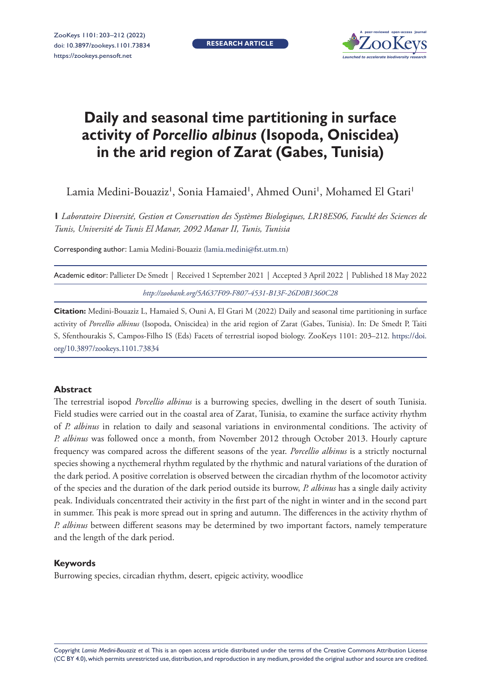**RESEARCH ARTICLE**



# **Daily and seasonal time partitioning in surface activity of** *Porcellio albinus* **(Isopoda, Oniscidea) in the arid region of Zarat (Gabes, Tunisia)**

Lamia Medini-Bouaziz', Sonia Hamaied', Ahmed Ouni', Mohamed El Gtari'

**1** *Laboratoire Diversité, Gestion et Conservation des Systèmes Biologiques, LR18ES06, Faculté des Sciences de Tunis, Université de Tunis El Manar, 2092 Manar II, Tunis, Tunisia*

Corresponding author: Lamia Medini-Bouaziz ([lamia.medini@fst.utm.tn](mailto:lamia.medini@fst.utm.tn))

| Academic editor: Pallieter De Smedt   Received 1 September 2021   Accepted 3 April 2022   Published 18 May 2022 |  |
|-----------------------------------------------------------------------------------------------------------------|--|
| http://zoobank.org/5A637F09-F807-4531-B13F-26D0B1360C28                                                         |  |

**Citation:** Medini-Bouaziz L, Hamaied S, Ouni A, El Gtari M (2022) Daily and seasonal time partitioning in surface activity of *Porcellio albinus* (Isopoda, Oniscidea) in the arid region of Zarat (Gabes, Tunisia). In: De Smedt P, Taiti S, Sfenthourakis S, Campos-Filho IS (Eds) Facets of terrestrial isopod biology. ZooKeys 1101: 203–212. [https://doi.](https://doi.org/10.3897/zookeys.1101.73834) [org/10.3897/zookeys.1101.73834](https://doi.org/10.3897/zookeys.1101.73834)

#### **Abstract**

The terrestrial isopod *Porcellio albinus* is a burrowing species, dwelling in the desert of south Tunisia. Field studies were carried out in the coastal area of Zarat, Tunisia, to examine the surface activity rhythm of *P. albinus* in relation to daily and seasonal variations in environmental conditions. The activity of *P. albinus* was followed once a month, from November 2012 through October 2013. Hourly capture frequency was compared across the different seasons of the year. *Porcellio albinus* is a strictly nocturnal species showing a nycthemeral rhythm regulated by the rhythmic and natural variations of the duration of the dark period. A positive correlation is observed between the circadian rhythm of the locomotor activity of the species and the duration of the dark period outside its burrow, *P. albinus* has a single daily activity peak. Individuals concentrated their activity in the first part of the night in winter and in the second part in summer. This peak is more spread out in spring and autumn. The differences in the activity rhythm of *P. albinus* between different seasons may be determined by two important factors, namely temperature and the length of the dark period.

#### **Keywords**

Burrowing species, circadian rhythm, desert, epigeic activity, woodlice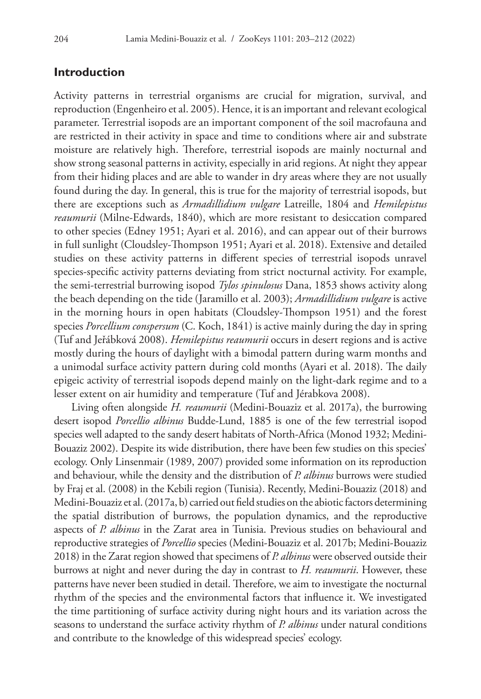## **Introduction**

Activity patterns in terrestrial organisms are crucial for migration, survival, and reproduction (Engenheiro et al. 2005). Hence, it is an important and relevant ecological parameter. Terrestrial isopods are an important component of the soil macrofauna and are restricted in their activity in space and time to conditions where air and substrate moisture are relatively high. Therefore, terrestrial isopods are mainly nocturnal and show strong seasonal patterns in activity, especially in arid regions. At night they appear from their hiding places and are able to wander in dry areas where they are not usually found during the day. In general, this is true for the majority of terrestrial isopods, but there are exceptions such as *Armadillidium vulgare* Latreille, 1804 and *Hemilepistus reaumurii* (Milne-Edwards, 1840), which are more resistant to desiccation compared to other species (Edney 1951; Ayari et al. 2016), and can appear out of their burrows in full sunlight (Cloudsley-Thompson 1951; Ayari et al. 2018). Extensive and detailed studies on these activity patterns in different species of terrestrial isopods unravel species-specific activity patterns deviating from strict nocturnal activity. For example, the semi-terrestrial burrowing isopod *Tylos spinulosus* Dana, 1853 shows activity along the beach depending on the tide (Jaramillo et al. 2003); *Armadillidium vulgare* is active in the morning hours in open habitats (Cloudsley-Thompson 1951) and the forest species *Porcellium conspersum* (C. Koch, 1841) is active mainly during the day in spring (Tuf and Jeřábková 2008). *Hemilepistus reaumurii* occurs in desert regions and is active mostly during the hours of daylight with a bimodal pattern during warm months and a unimodal surface activity pattern during cold months (Ayari et al. 2018). The daily epigeic activity of terrestrial isopods depend mainly on the light-dark regime and to a lesser extent on air humidity and temperature (Tuf and Jérabkova 2008).

Living often alongside *H. reaumurii* (Medini-Bouaziz et al. 2017a), the burrowing desert isopod *Porcellio albinus* Budde-Lund, 1885 is one of the few terrestrial isopod species well adapted to the sandy desert habitats of North-Africa (Monod 1932; Medini-Bouaziz 2002). Despite its wide distribution, there have been few studies on this species' ecology. Only Linsenmair (1989, 2007) provided some information on its reproduction and behaviour, while the density and the distribution of *P. albinus* burrows were studied by Fraj et al. (2008) in the Kebili region (Tunisia). Recently, Medini-Bouaziz (2018) and Medini-Bouaziz et al. (2017a, b) carried out field studies on the abiotic factors determining the spatial distribution of burrows, the population dynamics, and the reproductive aspects of *P. albinus* in the Zarat area in Tunisia. Previous studies on behavioural and reproductive strategies of *Porcellio* species (Medini-Bouaziz et al. 2017b; Medini-Bouaziz 2018) in the Zarat region showed that specimens of *P. albinus* were observed outside their burrows at night and never during the day in contrast to *H. reaumurii*. However, these patterns have never been studied in detail. Therefore, we aim to investigate the nocturnal rhythm of the species and the environmental factors that influence it. We investigated the time partitioning of surface activity during night hours and its variation across the seasons to understand the surface activity rhythm of *P. albinus* under natural conditions and contribute to the knowledge of this widespread species' ecology.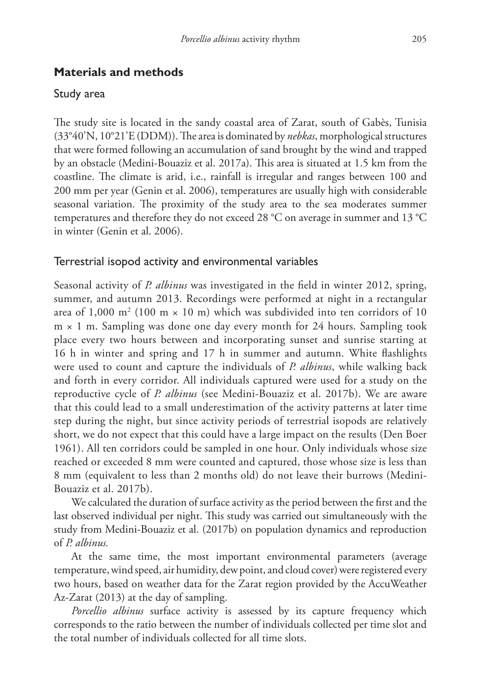# **Materials and methods**

# Study area

The study site is located in the sandy coastal area of Zarat, south of Gabès, Tunisia (33°40'N, 10°21'E (DDM)). The area is dominated by *nebkas*, morphological structures that were formed following an accumulation of sand brought by the wind and trapped by an obstacle (Medini-Bouaziz et al. 2017a). This area is situated at 1.5 km from the coastline. The climate is arid, i.e., rainfall is irregular and ranges between 100 and 200 mm per year (Genin et al. 2006), temperatures are usually high with considerable seasonal variation. The proximity of the study area to the sea moderates summer temperatures and therefore they do not exceed 28 °C on average in summer and 13 °C in winter (Genin et al. 2006).

# Terrestrial isopod activity and environmental variables

Seasonal activity of *P. albinus* was investigated in the field in winter 2012, spring, summer, and autumn 2013. Recordings were performed at night in a rectangular area of 1,000 m<sup>2</sup> (100 m  $\times$  10 m) which was subdivided into ten corridors of 10  $m \times 1$  m. Sampling was done one day every month for 24 hours. Sampling took place every two hours between and incorporating sunset and sunrise starting at 16 h in winter and spring and 17 h in summer and autumn. White flashlights were used to count and capture the individuals of *P. albinus*, while walking back and forth in every corridor. All individuals captured were used for a study on the reproductive cycle of *P. albinus* (see Medini-Bouaziz et al. 2017b). We are aware that this could lead to a small underestimation of the activity patterns at later time step during the night, but since activity periods of terrestrial isopods are relatively short, we do not expect that this could have a large impact on the results (Den Boer 1961). All ten corridors could be sampled in one hour. Only individuals whose size reached or exceeded 8 mm were counted and captured, those whose size is less than 8 mm (equivalent to less than 2 months old) do not leave their burrows (Medini-Bouaziz et al. 2017b).

We calculated the duration of surface activity as the period between the first and the last observed individual per night. This study was carried out simultaneously with the study from Medini-Bouaziz et al. (2017b) on population dynamics and reproduction of *P. albinus.*

At the same time, the most important environmental parameters (average temperature, wind speed, air humidity, dew point, and cloud cover) were registered every two hours, based on weather data for the Zarat region provided by the AccuWeather Az-Zarat (2013) at the day of sampling.

*Porcellio albinus* surface activity is assessed by its capture frequency which corresponds to the ratio between the number of individuals collected per time slot and the total number of individuals collected for all time slots.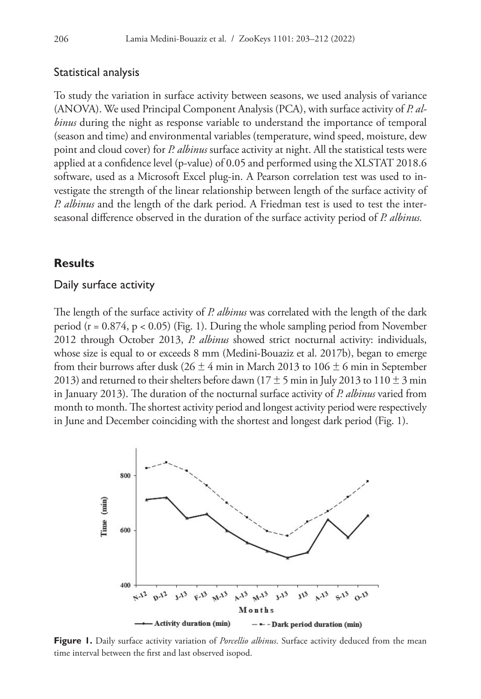#### Statistical analysis

To study the variation in surface activity between seasons, we used analysis of variance (ANOVA). We used Principal Component Analysis (PCA), with surface activity of *P. albinus* during the night as response variable to understand the importance of temporal (season and time) and environmental variables (temperature, wind speed, moisture, dew point and cloud cover) for *P. albinus* surface activity at night. All the statistical tests were applied at a confidence level (p-value) of 0.05 and performed using the XLSTAT 2018.6 software, used as a Microsoft Excel plug-in. A Pearson correlation test was used to investigate the strength of the linear relationship between length of the surface activity of *P. albinus* and the length of the dark period. A Friedman test is used to test the interseasonal difference observed in the duration of the surface activity period of *P. albinus.*

## **Results**

#### Daily surface activity

The length of the surface activity of *P. albinus* was correlated with the length of the dark period ( $r = 0.874$ ,  $p < 0.05$ ) (Fig. 1). During the whole sampling period from November 2012 through October 2013, *P. albinus* showed strict nocturnal activity: individuals, whose size is equal to or exceeds 8 mm (Medini-Bouaziz et al. 2017b), began to emerge from their burrows after dusk ( $26 \pm 4$  min in March 2013 to  $106 \pm 6$  min in September 2013) and returned to their shelters before dawn ( $17 \pm 5$  min in July 2013 to  $110 \pm 3$  min in January 2013). The duration of the nocturnal surface activity of *P. albinus* varied from month to month. The shortest activity period and longest activity period were respectively in June and December coinciding with the shortest and longest dark period (Fig. 1).



**Figure 1.** Daily surface activity variation of *Porcellio albinus*. Surface activity deduced from the mean time interval between the first and last observed isopod.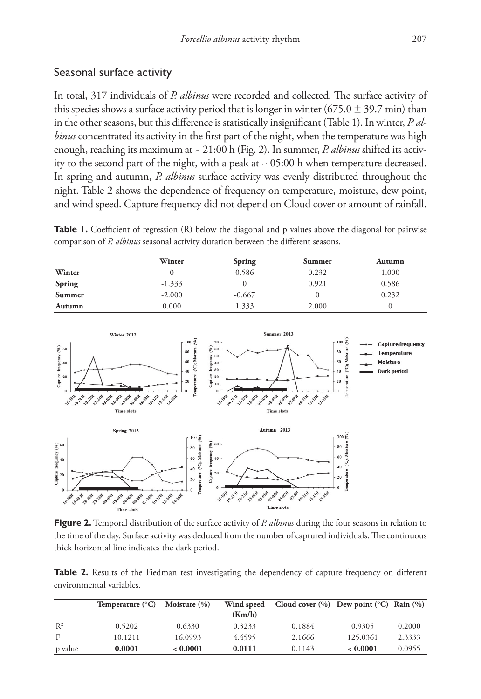In total, 317 individuals of *P. albinus* were recorded and collected. The surface activity of this species shows a surface activity period that is longer in winter (675.0  $\pm$  39.7 min) than in the other seasons, but this difference is statistically insignificant (Table 1). In winter, *P. albinus* concentrated its activity in the first part of the night, when the temperature was high enough, reaching its maximum at ~ 21:00 h (Fig. 2). In summer, *P. albinus* shifted its activity to the second part of the night, with a peak at ~ 05:00 h when temperature decreased. In spring and autumn, *P. albinus* surface activity was evenly distributed throughout the night. Table 2 shows the dependence of frequency on temperature, moisture, dew point, and wind speed. Capture frequency did not depend on Cloud cover or amount of rainfall.

**Table 1.** Coefficient of regression (R) below the diagonal and p values above the diagonal for pairwise comparison of *P. albinus* seasonal activity duration between the different seasons.

|               | Winter   | <b>Spring</b> | Summer | Autumn |
|---------------|----------|---------------|--------|--------|
| Winter        |          | 0.586         | 0.232  | 1.000  |
| <b>Spring</b> | $-1.333$ |               | 0.921  | 0.586  |
| Summer        | $-2.000$ | $-0.667$      |        | 0.232  |
| Autumn        | 0.000    | 1.333         | 2.000  |        |



**Figure 2.** Temporal distribution of the surface activity of *P. albinus* during the four seasons in relation to the time of the day. Surface activity was deduced from the number of captured individuals. The continuous thick horizontal line indicates the dark period.

**Table 2.** Results of the Fiedman test investigating the dependency of capture frequency on different environmental variables.

|         | Temperature $(^{\circ}C)$ | Moisture $(\% )$ | Wind speed | Cloud cover $(\% )$ Dew point $({}^{\circ}C)$ Rain $(\% )$ |          |        |
|---------|---------------------------|------------------|------------|------------------------------------------------------------|----------|--------|
|         |                           |                  | (Km/h)     |                                                            |          |        |
| $R^2$   | 0.5202                    | 0.6330           | 0.3233     | 0.1884                                                     | 0.9305   | 0.2000 |
| F       | 10.1211                   | 16.0993          | 4.4595     | 2.1666                                                     | 125.0361 | 2.3333 |
| p value | 0.0001                    | 0.0001           | 0.0111     | 0.1143                                                     | 0.0001   | 0.0955 |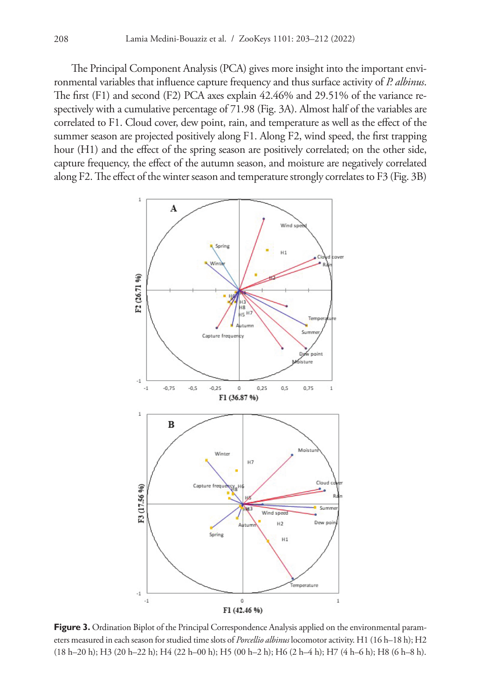The Principal Component Analysis (PCA) gives more insight into the important environmental variables that influence capture frequency and thus surface activity of *P. albinus*. The first (F1) and second (F2) PCA axes explain 42.46% and 29.51% of the variance respectively with a cumulative percentage of 71.98 (Fig. 3A). Almost half of the variables are correlated to F1. Cloud cover, dew point, rain, and temperature as well as the effect of the summer season are projected positively along F1. Along F2, wind speed, the first trapping hour (H1) and the effect of the spring season are positively correlated; on the other side, capture frequency, the effect of the autumn season, and moisture are negatively correlated along F2. The effect of the winter season and temperature strongly correlates to F3 (Fig. 3B)



**Figure 3.** Ordination Biplot of the Principal Correspondence Analysis applied on the environmental parameters measured in each season for studied time slots of *Porcellio albinus* locomotor activity. H1 (16 h–18 h); H2 (18 h–20 h); H3 (20 h–22 h); H4 (22 h–00 h); H5 (00 h–2 h); H6 (2 h–4 h); H7 (4 h–6 h); H8 (6 h–8 h).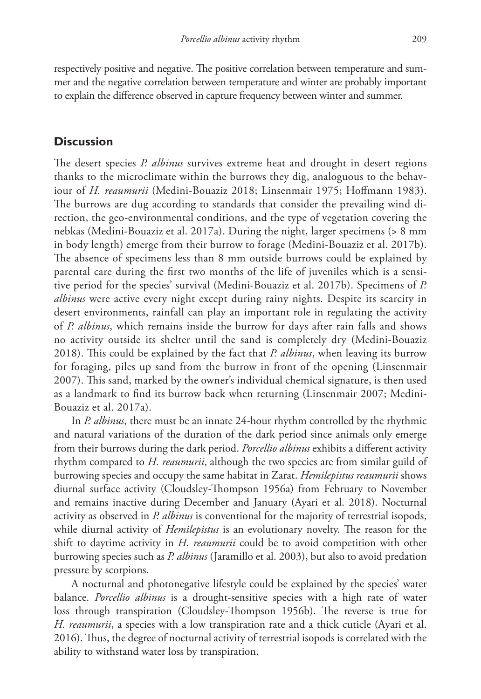respectively positive and negative. The positive correlation between temperature and summer and the negative correlation between temperature and winter are probably important to explain the difference observed in capture frequency between winter and summer.

## **Discussion**

The desert species *P. albinus* survives extreme heat and drought in desert regions thanks to the microclimate within the burrows they dig, analoguous to the behaviour of *H. reaumurii* (Medini-Bouaziz 2018; Linsenmair 1975; Hoffmann 1983). The burrows are dug according to standards that consider the prevailing wind direction, the geo-environmental conditions, and the type of vegetation covering the nebkas (Medini-Bouaziz et al. 2017a). During the night, larger specimens (> 8 mm in body length) emerge from their burrow to forage (Medini-Bouaziz et al. 2017b). The absence of specimens less than 8 mm outside burrows could be explained by parental care during the first two months of the life of juveniles which is a sensitive period for the species' survival (Medini-Bouaziz et al. 2017b). Specimens of *P. albinus* were active every night except during rainy nights. Despite its scarcity in desert environments, rainfall can play an important role in regulating the activity of *P. albinus*, which remains inside the burrow for days after rain falls and shows no activity outside its shelter until the sand is completely dry (Medini-Bouaziz 2018). This could be explained by the fact that *P. albinus*, when leaving its burrow for foraging, piles up sand from the burrow in front of the opening (Linsenmair 2007). This sand, marked by the owner's individual chemical signature, is then used as a landmark to find its burrow back when returning (Linsenmair 2007; Medini-Bouaziz et al. 2017a).

In *P. albinus*, there must be an innate 24-hour rhythm controlled by the rhythmic and natural variations of the duration of the dark period since animals only emerge from their burrows during the dark period. *Porcellio albinus* exhibits a different activity rhythm compared to *H. reaumurii*, although the two species are from similar guild of burrowing species and occupy the same habitat in Zarat. *Hemilepistus reaumurii* shows diurnal surface activity (Cloudsley-Thompson 1956a) from February to November and remains inactive during December and January (Ayari et al. 2018). Nocturnal activity as observed in *P. albinus* is conventional for the majority of terrestrial isopods, while diurnal activity of *Hemilepistus* is an evolutionary novelty. The reason for the shift to daytime activity in *H. reaumurii* could be to avoid competition with other burrowing species such as *P. albinus* (Jaramillo et al. 2003), but also to avoid predation pressure by scorpions.

A nocturnal and photonegative lifestyle could be explained by the species' water balance. *Porcellio albinus* is a drought-sensitive species with a high rate of water loss through transpiration (Cloudsley-Thompson 1956b). The reverse is true for *H. reaumurii*, a species with a low transpiration rate and a thick cuticle (Ayari et al. 2016). Thus, the degree of nocturnal activity of terrestrial isopods is correlated with the ability to withstand water loss by transpiration.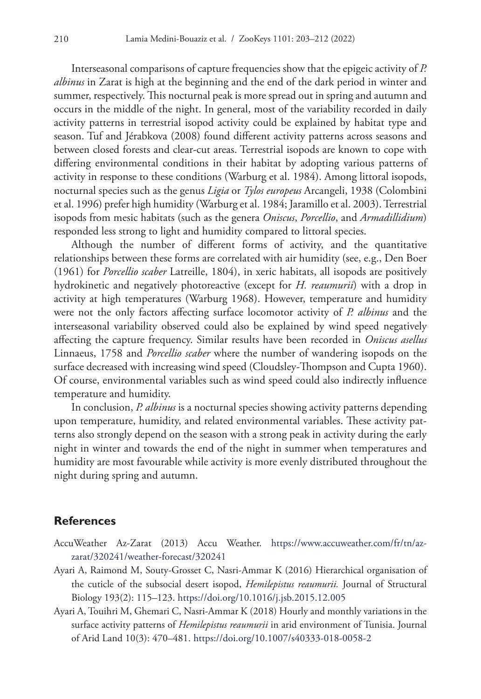Interseasonal comparisons of capture frequencies show that the epigeic activity of *P. albinus* in Zarat is high at the beginning and the end of the dark period in winter and summer, respectively. This nocturnal peak is more spread out in spring and autumn and occurs in the middle of the night. In general, most of the variability recorded in daily activity patterns in terrestrial isopod activity could be explained by habitat type and season. Tuf and Jérabkova (2008) found different activity patterns across seasons and between closed forests and clear-cut areas. Terrestrial isopods are known to cope with differing environmental conditions in their habitat by adopting various patterns of activity in response to these conditions (Warburg et al. 1984). Among littoral isopods, nocturnal species such as the genus *Ligia* or *Tylos europeus* Arcangeli, 1938 (Colombini et al. 1996) prefer high humidity (Warburg et al. 1984; Jaramillo et al. 2003). Terrestrial isopods from mesic habitats (such as the genera *Oniscus*, *Porcellio*, and *Armadillidium*) responded less strong to light and humidity compared to littoral species.

Although the number of different forms of activity, and the quantitative relationships between these forms are correlated with air humidity (see, e.g., Den Boer (1961) for *Porcellio scaber* Latreille, 1804), in xeric habitats, all isopods are positively hydrokinetic and negatively photoreactive (except for *H. reaumurii*) with a drop in activity at high temperatures (Warburg 1968). However, temperature and humidity were not the only factors affecting surface locomotor activity of *P. albinus* and the interseasonal variability observed could also be explained by wind speed negatively affecting the capture frequency. Similar results have been recorded in *Oniscus asellus* Linnaeus, 1758 and *Porcellio scaber* where the number of wandering isopods on the surface decreased with increasing wind speed (Cloudsley-Thompson and Cupta 1960). Of course, environmental variables such as wind speed could also indirectly influence temperature and humidity.

In conclusion, *P. albinus* is a nocturnal species showing activity patterns depending upon temperature, humidity, and related environmental variables. These activity patterns also strongly depend on the season with a strong peak in activity during the early night in winter and towards the end of the night in summer when temperatures and humidity are most favourable while activity is more evenly distributed throughout the night during spring and autumn.

## **References**

- AccuWeather Az-Zarat (2013) Accu Weather. [https://www.accuweather.com/fr/tn/az](https://www.accuweather.com/fr/tn/az-zarat/320241/weather-forecast/320241)[zarat/320241/weather-forecast/320241](https://www.accuweather.com/fr/tn/az-zarat/320241/weather-forecast/320241)
- Ayari A, Raimond M, Souty-Grosset C, Nasri-Ammar K (2016) Hierarchical organisation of the cuticle of the subsocial desert isopod, *Hemilepistus reaumurii.* Journal of Structural Biology 193(2): 115–123. <https://doi.org/10.1016/j.jsb.2015.12.005>
- Ayari A, Touihri M, Ghemari C, Nasri-Ammar K (2018) Hourly and monthly variations in the surface activity patterns of *Hemilepistus reaumurii* in arid environment of Tunisia. Journal of Arid Land 10(3): 470–481.<https://doi.org/10.1007/s40333-018-0058-2>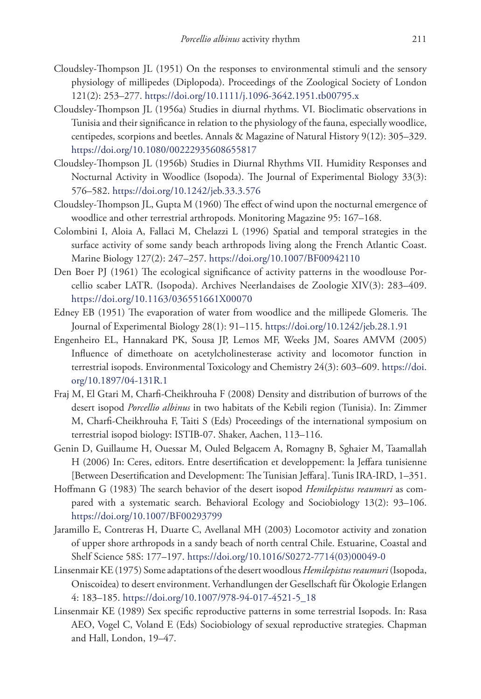- Cloudsley-Thompson JL (1951) On the responses to environmental stimuli and the sensory physiology of millipedes (Diplopoda). Proceedings of the Zoological Society of London 121(2): 253–277. <https://doi.org/10.1111/j.1096-3642.1951.tb00795.x>
- Cloudsley-Thompson JL (1956a) Studies in diurnal rhythms. VI. Bioclimatic observations in Tunisia and their significance in relation to the physiology of the fauna, especially woodlice, centipedes, scorpions and beetles. Annals & Magazine of Natural History 9(12): 305–329. <https://doi.org/10.1080/00222935608655817>
- Cloudsley-Thompson JL (1956b) Studies in Diurnal Rhythms VII. Humidity Responses and Nocturnal Activity in Woodlice (Isopoda). The Journal of Experimental Biology 33(3): 576–582.<https://doi.org/10.1242/jeb.33.3.576>
- Cloudsley-Thompson JL, Gupta M (1960) The effect of wind upon the nocturnal emergence of woodlice and other terrestrial arthropods. Monitoring Magazine 95: 167–168.
- Colombini I, Aloia A, Fallaci M, Chelazzi L (1996) Spatial and temporal strategies in the surface activity of some sandy beach arthropods living along the French Atlantic Coast. Marine Biology 127(2): 247–257. <https://doi.org/10.1007/BF00942110>
- Den Boer PJ (1961) The ecological significance of activity patterns in the woodlouse Porcellio scaber LATR. (Isopoda). Archives Neerlandaises de Zoologie XIV(3): 283–409. <https://doi.org/10.1163/036551661X00070>
- Edney EB (1951) The evaporation of water from woodlice and the millipede Glomeris. The Journal of Experimental Biology 28(1): 91–115.<https://doi.org/10.1242/jeb.28.1.91>
- Engenheiro EL, Hannakard PK, Sousa JP, Lemos MF, Weeks JM, Soares AMVM (2005) Influence of dimethoate on acetylcholinesterase activity and locomotor function in terrestrial isopods. Environmental Toxicology and Chemistry 24(3): 603–609. [https://doi.](https://doi.org/10.1897/04-131R.1) [org/10.1897/04-131R.1](https://doi.org/10.1897/04-131R.1)
- Fraj M, El Gtari M, Charfi-Cheikhrouha F (2008) Density and distribution of burrows of the desert isopod *Porcellio albinus* in two habitats of the Kebili region (Tunisia). In: Zimmer M, Charfi-Cheikhrouha F, Taiti S (Eds) Proceedings of the international symposium on terrestrial isopod biology: ISTIB-07. Shaker, Aachen, 113–116.
- Genin D, Guillaume H, Ouessar M, Ouled Belgacem A, Romagny B, Sghaier M, Taamallah H (2006) In: Ceres, editors. Entre desertification et developpement: la Jeffara tunisienne [Between Desertification and Development: The Tunisian Jeffara]. Tunis IRA-IRD, 1–351.
- Hoffmann G (1983) The search behavior of the desert isopod *Hemilepistus reaumuri* as compared with a systematic search. Behavioral Ecology and Sociobiology 13(2): 93–106. <https://doi.org/10.1007/BF00293799>
- Jaramillo E, Contreras H, Duarte C, Avellanal MH (2003) Locomotor activity and zonation of upper shore arthropods in a sandy beach of north central Chile. Estuarine, Coastal and Shelf Science 58S: 177–197. [https://doi.org/10.1016/S0272-7714\(03\)00049-0](https://doi.org/10.1016/S0272-7714(03)00049-0)
- Linsenmair KE (1975) Some adaptations of the desert woodlous *Hemilepistus reaumuri* (Isopoda, Oniscoidea) to desert environment. Verhandlungen der Gesellschaft für Ökologie Erlangen 4: 183–185. [https://doi.org/10.1007/978-94-017-4521-5\\_18](https://doi.org/10.1007/978-94-017-4521-5_18)
- Linsenmair KE (1989) Sex specific reproductive patterns in some terrestrial Isopods. In: Rasa AEO, Vogel C, Voland E (Eds) Sociobiology of sexual reproductive strategies. Chapman and Hall, London, 19–47.